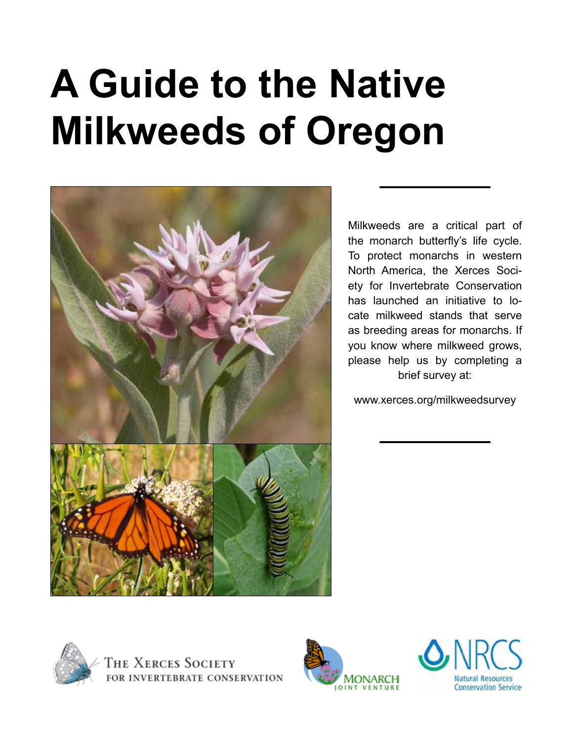# **A Guide to the Native Milkweeds of Oregon**



Milkweeds are a critical part of the monarch butterfly's life cycle. To protect monarchs in western North America, the Xerces Society for Invertebrate Conservation has launched an initiative to locate milkweed stands that serve as breeding areas for monarchs. If you know where milkweed grows, please help us by completing a brief survey at:

www.xerces.org/milkweedsurvey





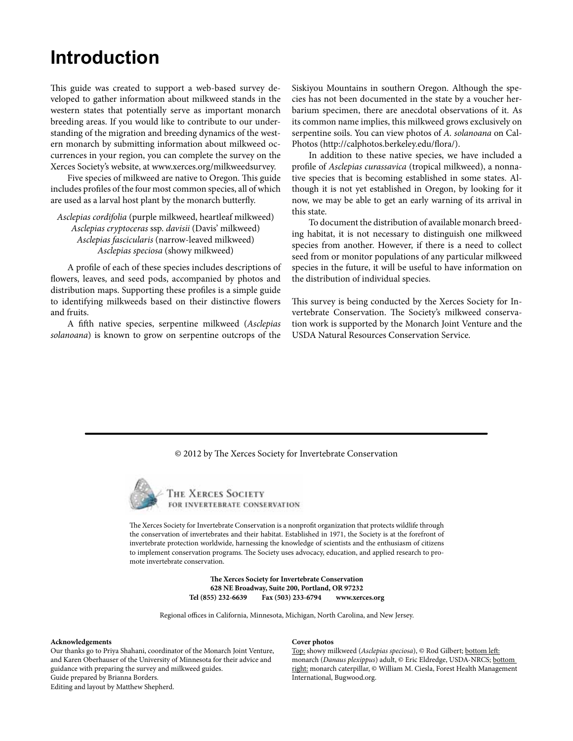### **Introduction**

This guide was created to support a web-based survey developed to gather information about milkweed stands in the western states that potentially serve as important monarch breeding areas. If you would like to contribute to our understanding of the migration and breeding dynamics of the western monarch by submitting information about milkweed occurrences in your region, you can complete the survey on the Xerces Society's website, at www.xerces.org/milkweedsurvey.

Five species of milkweed are native to Oregon. This guide includes profiles of the four most common species, all of which are used as a larval host plant by the monarch butterfly.

*Asclepias cordifolia* (purple milkweed, heartleaf milkweed) *Asclepias cryptoceras* ssp. *davisii* (Davis' milkweed) *Asclepias fascicularis* (narrow-leaved milkweed) *Asclepias speciosa* (showy milkweed)

A profile of each of these species includes descriptions of flowers, leaves, and seed pods, accompanied by photos and distribution maps. Supporting these profiles is a simple guide to identifying milkweeds based on their distinctive flowers and fruits.

A fifth native species, serpentine milkweed (*Asclepias solanoana*) is known to grow on serpentine outcrops of the Siskiyou Mountains in southern Oregon. Although the species has not been documented in the state by a voucher herbarium specimen, there are anecdotal observations of it. As its common name implies, this milkweed grows exclusively on serpentine soils. You can view photos of *A. solanoana* on Cal-Photos (http://calphotos.berkeley.edu/flora/).

In addition to these native species, we have included a profile of *Asclepias curassavica* (tropical milkweed), a nonnative species that is becoming established in some states. Although it is not yet established in Oregon, by looking for it now, we may be able to get an early warning of its arrival in this state.

To document the distribution of available monarch breeding habitat, it is not necessary to distinguish one milkweed species from another. However, if there is a need to collect seed from or monitor populations of any particular milkweed species in the future, it will be useful to have information on the distribution of individual species.

This survey is being conducted by the Xerces Society for Invertebrate Conservation. The Society's milkweed conservation work is supported by the Monarch Joint Venture and the USDA Natural Resources Conservation Service.

#### © 2012 by The Xerces Society for Invertebrate Conservation



THE XERCES SOCIETY FOR INVERTEBRATE CONSERVATION

The Xerces Society for Invertebrate Conservation is a nonprofit organization that protects wildlife through the conservation of invertebrates and their habitat. Established in 1971, the Society is at the forefront of invertebrate protection worldwide, harnessing the knowledge of scientists and the enthusiasm of citizens to implement conservation programs. The Society uses advocacy, education, and applied research to promote invertebrate conservation.

> **The Xerces Society for Invertebrate Conservation 628 NE Broadway, Suite 200, Portland, OR 97232 Tel (855) 232-6639 Fax (503) 233-6794 www.xerces.org**

Regional offices in California, Minnesota, Michigan, North Carolina, and New Jersey.

#### **Acknowledgements**

Our thanks go to Priya Shahani, coordinator of the Monarch Joint Venture, and Karen Oberhauser of the University of Minnesota for their advice and guidance with preparing the survey and milkweed guides. Guide prepared by Brianna Borders. Editing and layout by Matthew Shepherd.

#### **Cover photos**

Top: showy milkweed (*Asclepias speciosa*), © Rod Gilbert; bottom left: monarch (*Danaus plexippus*) adult, © Eric Eldredge, USDA-NRCS; bottom right: monarch caterpillar, © William M. Ciesla, Forest Health Management International, Bugwood.org.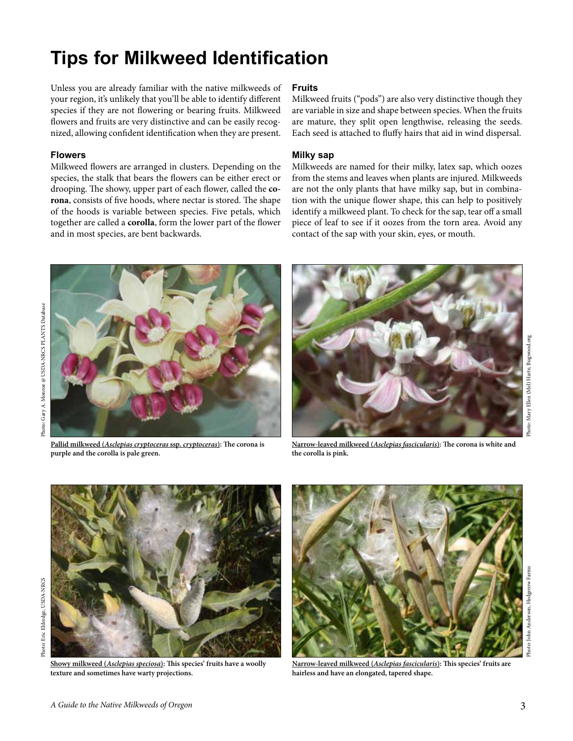## **Tips for Milkweed Identification**

Unless you are already familiar with the native milkweeds of your region, it's unlikely that you'll be able to identify different species if they are not flowering or bearing fruits. Milkweed flowers and fruits are very distinctive and can be easily recognized, allowing confident identification when they are present.

### **Flowers**

Milkweed flowers are arranged in clusters. Depending on the species, the stalk that bears the flowers can be either erect or drooping. The showy, upper part of each flower, called the **corona**, consists of five hoods, where nectar is stored. The shape of the hoods is variable between species. Five petals, which together are called a **corolla**, form the lower part of the flower and in most species, are bent backwards.

### **Fruits**

Milkweed fruits ("pods") are also very distinctive though they are variable in size and shape between species. When the fruits are mature, they split open lengthwise, releasing the seeds. Each seed is attached to fluffy hairs that aid in wind dispersal.

### **Milky sap**

Milkweeds are named for their milky, latex sap, which oozes from the stems and leaves when plants are injured. Milkweeds are not the only plants that have milky sap, but in combination with the unique flower shape, this can help to positively identify a milkweed plant. To check for the sap, tear off a small piece of leaf to see if it oozes from the torn area. Avoid any contact of the sap with your skin, eyes, or mouth.



**Pallid milkweed (***Asclepias cryptoceras* **ssp.** *cryptoceras***): The corona is purple and the corolla is pale green.**



**Narrow-leaved milkweed (***Asclepias fascicularis***): The corona is white and the corolla is pink.**



**Showy milkweed (***Asclepias speciosa***): This species' fruits have a woolly texture and sometimes have warty projections.**



**Narrow-leaved milkweed (***Asclepias fascicularis***): This species' fruits are hairless and have an elongated, tapered shape.**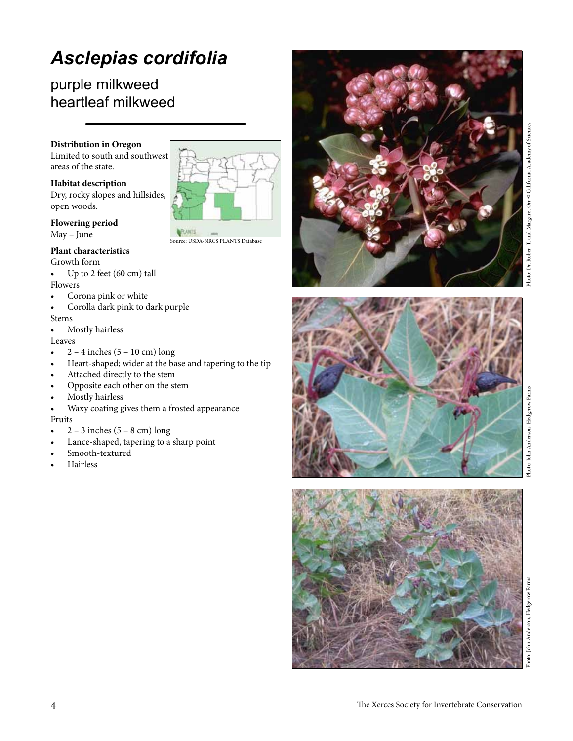# *Asclepias cordifolia*

### purple milkweed heartleaf milkweed

### **Distribution in Oregon**

Limited to south and southwest areas of the state.

### **Habitat description**

Dry, rocky slopes and hillsides, open woods.

**Flowering period**

May – June

### **Plant characteristics**

Growth form

- • Up to 2 feet (60 cm) tall Flowers
- Corona pink or white
- Corolla dark pink to dark purple

### Stems

Mostly hairless

Leaves

- $\bullet$  2 4 inches (5 10 cm) long
- Heart-shaped; wider at the base and tapering to the tip

Source: USDA-NRCS PLANTS Database

- Attached directly to the stem
- Opposite each other on the stem
- Mostly hairless
- Waxy coating gives them a frosted appearance

### Fruits

- $2 3$  inches  $(5 8$  cm) long
- Lance-shaped, tapering to a sharp point
- Smooth-textured
- **Hairless**







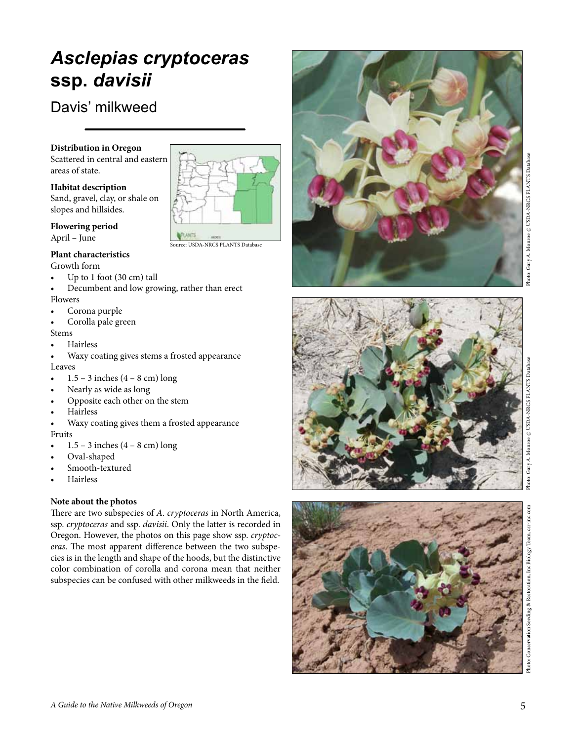### 5

*Asclepias cryptoceras* 

urce: USDA-NRCS PLANTS Database

### **Distribution in Oregon**

**ssp.** *davisii*

Davis' milkweed

Scattered in central and eastern areas of state.

### **Habitat description**

Sand, gravel, clay, or shale on slopes and hillsides.

**Flowering period**

### April – June

### **Plant characteristics**

Growth form

- Up to  $1$  foot (30 cm) tall
- Decumbent and low growing, rather than erect Flowers
- Corona purple
- Corolla pale green

#### Stems

- **Hairless**
- Waxy coating gives stems a frosted appearance Leaves
- $1.5 3$  inches  $(4 8$  cm) long
- Nearly as wide as long
- Opposite each other on the stem
- **Hairless**
- Waxy coating gives them a frosted appearance Fruits
- $1.5 3$  inches  $(4 8$  cm) long

*A Guide to the Native Milkweeds of Oregon*

- Oval-shaped
- Smooth-textured
- **Hairless**

### **Note about the photos**

There are two subspecies of *A* . *cryptoceras* in North America, ssp. *cryptoceras* and ssp. *davisii*. Only the latter is recorded in Oregon. However, the photos on this page show ssp. *cryptoc eras*. The most apparent difference between the two subspe cies is in the length and shape of the hoods, but the distinctive color combination of corolla and corona mean that neither subspecies can be confused with other milkweeds in the field.









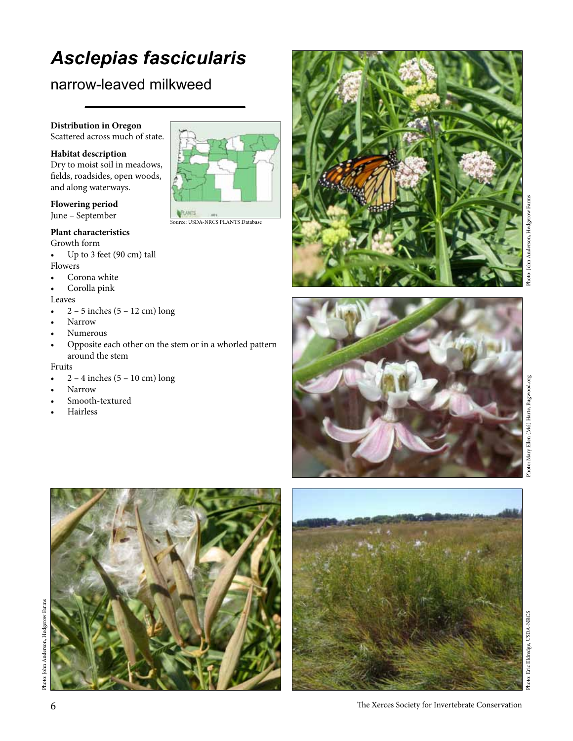# *Asclepias fascicularis*

### narrow-leaved milkweed

### **Distribution in Oregon**

Scattered across much of state.

### **Habitat description**

Dry to moist soil in meadows, fields, roadsides, open woods, and along waterways.

### **Flowering period** June – September

### **Plant characteristics**

Growth form

- • Up to 3 feet (90 cm) tall Flowers
- • Corona white
- Corolla pink

### Leaves

- $2 5$  inches  $(5 12$  cm) long
- Narrow
- Numerous
- Opposite each other on the stem or in a whorled pattern around the stem

#### Fruits

- $2 4$  inches  $(5 10$  cm) long
- Narrow
- Smooth-textured
- **Hairless**



Source: USDA-NRCS PLANTS Database







Eric Eldredge, USDA-NRCS Photo: Eric Eldredge, USDA-NRCS Photo:

6 The Xerces Society for Invertebrate Conservation

Photo: John Anderson, Hedgerow Farms Photo: John Anderson, Hedgerow Farms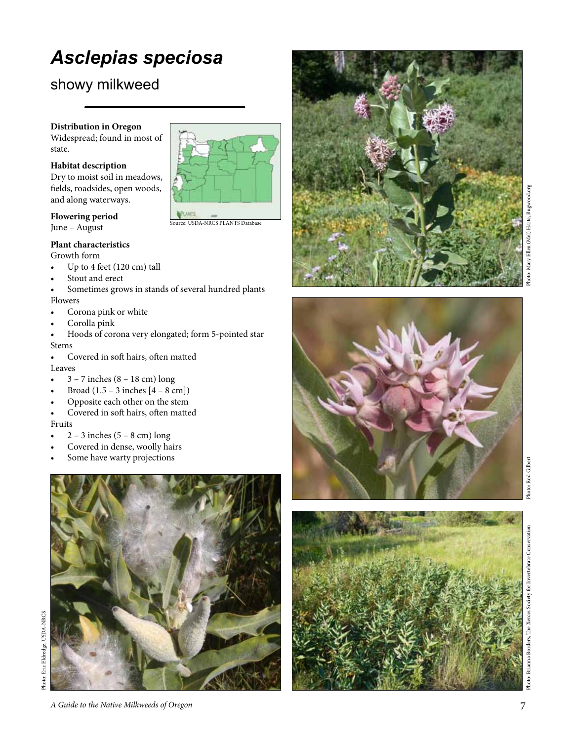# *Asclepias speciosa*

### showy milkweed

### **Distribution in Oregon**

Widespread; found in most of state.

### **Habitat description**

Dry to moist soil in meadows, fields, roadsides, open woods, and along waterways.



#### **Flowering period** June – August

**Plant characteristics**

### Growth form

- Up to 4 feet  $(120 \text{ cm})$  tall
- Stout and erect
- Sometimes grows in stands of several hundred plants Flowers
- • Corona pink or white
- Corolla pink
- Hoods of corona very elongated; form 5-pointed star Stems
- Covered in soft hairs, often matted Leaves
- $3 7$  inches  $(8 18$  cm) long
- Broad  $(1.5 3$  inches  $[4 8$  cm])
- Opposite each other on the stem
- Covered in soft hairs, often matted Fruits
- $2 3$  inches  $(5 8$  cm) long
- Covered in dense, woolly hairs
- Some have warty projections











Photo: Brianna Borders, The Xerces Society for Invertebrate Conservation Photo: Brianna Borders, The Xerces Society for Invertebrate Conservation

*A Guide to the Native Milkweeds of Oregon*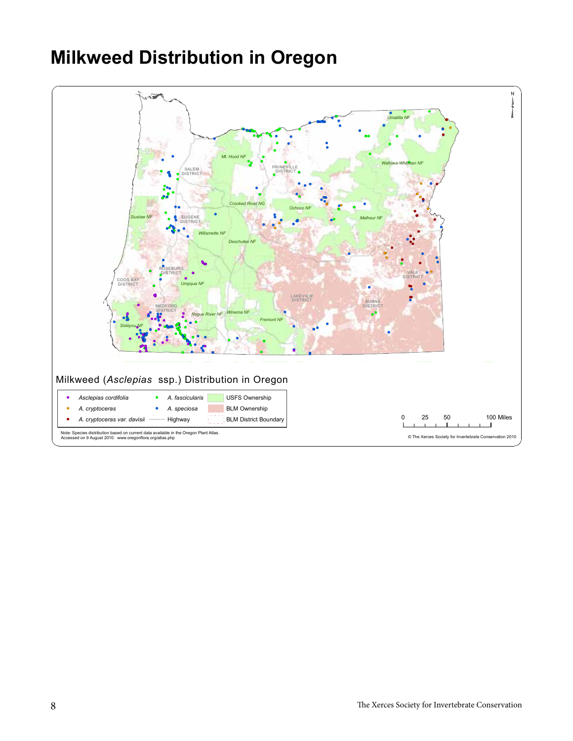# **Milkweed Distribution in Oregon**